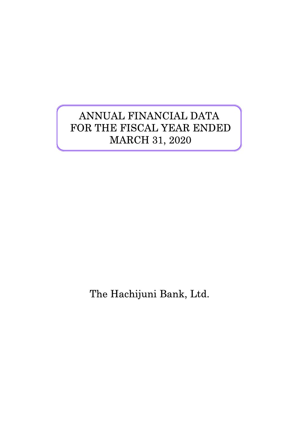# ANNUAL FINANCIAL DATA FOR THE FISCAL YEAR ENDED MARCH 31, 2020

The Hachijuni Bank, Ltd.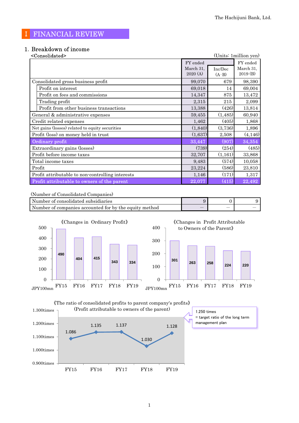# Ⅰ FINANCIAL REVIEW

# 1.Breakdown of income

| <consolidated></consolidated>                    |                      |                     | (Units: 1 million yen) |
|--------------------------------------------------|----------------------|---------------------|------------------------|
|                                                  | FY ended             |                     | FY ended               |
|                                                  | March 31,<br>2020(A) | Inc/Dec<br>$(A-B)$  | March 31,<br>2019 (B)  |
| Consolidated gross business profit               | 99,070               | 679                 | 98,390                 |
| Profit on interest                               | 69,018               | 14                  | 69,004                 |
| Profit on fees and commissions                   | 14,347               | 875                 | 13,472                 |
| Trading profit                                   | 2,315                | 215                 | 2,099                  |
| Profit from other business transactions          | 13,388               | (426)               | 13,814                 |
| General & administrative expenses                | 59,455               | (1,485)             | 60,940                 |
| Credit related expenses                          | 1,462                | (405)               | 1,868                  |
| Net gains (losses) related to equity securities  | (1,840)              | (3,736)             | 1,896                  |
| Profit (loss) on money held in trust             | (1,637)              | 2,508               | (4, 146)               |
| Ordinary profit                                  | 33,447               | (907)               | 34,354                 |
| Extraordinary gains (losses)                     | (739)                | (254)               | (485)                  |
| Profit before income taxes                       | 32,707               | (1,161)             | 33,868                 |
| Total income taxes                               | 9,483                | (574)               | 10,058                 |
| Profit                                           | 23,224               | (586)               | 23,810                 |
| Profit attributable to non-controlling interests | 1,146                | (171)               | 1,317                  |
| Profit attributable to owners of the parent      | 22,077               | $\left( 415\right)$ | 22,492                 |

#### (Number of Consolidated Companies)

| Number of consolidated subsidiaries                    |   |  |
|--------------------------------------------------------|---|--|
| Number of companies accounted for by the equity method | _ |  |



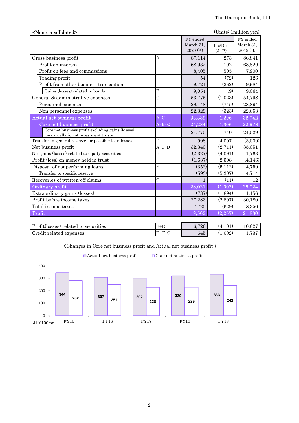| <non-consolidated></non-consolidated>                                                     |                         |              |          | (Units: 1 million yen) |
|-------------------------------------------------------------------------------------------|-------------------------|--------------|----------|------------------------|
|                                                                                           |                         | FY ended     |          | FY ended               |
|                                                                                           |                         | March 31,    | Inc/Dec  | March 31,              |
|                                                                                           |                         | 2020(A)      | $(A-B)$  | 2019 (B)               |
| Gross business profit                                                                     | A                       | 87,114       | 273      | 86,841                 |
| Profit on interest                                                                        |                         | 68,932       | 102      | 68,829                 |
| Profit on fees and commissions                                                            |                         | 8,405        | 505      | 7,900                  |
| Trading profit                                                                            |                         | 54           | (72)     | 126                    |
| Profit from other business transactions                                                   |                         | 9,721        | (262)    | 9,984                  |
| Gains (losses) related to bonds                                                           | B                       | 9,054        | (9)      | 9,064                  |
| General & administrative expenses                                                         | $\overline{C}$          | 53,775       | (1,023)  | 54,798                 |
| Personnel expenses                                                                        |                         | 28,148       | (745)    | 28,894                 |
| Non personnel expenses                                                                    |                         | 22,329       | (323)    | 22,653                 |
| <b>Actual net business profit</b>                                                         | $A-C$                   | 33,339       | 1,296    | 32,042                 |
| Core net business profit                                                                  | $A - B - C$             | 24,284       | 1,306    | 22,978                 |
| Core net business profit excluding gains (losses)<br>on cancellation of investment trusts |                         | 24,770       | 740      | 24,029                 |
| Transfer to general reserve for possible loan losses                                      | D                       | 998          | 4,007    | (3,009)                |
| Net business profit                                                                       | $A-C-D$                 | 32,340       | (2,711)  | 35,051                 |
| Net gains (losses) related to equity securities                                           | E                       | (2,327)      | (4,091)  | 1,763                  |
| Profit (loss) on money held in trust                                                      |                         | (1,637)      | 2,508    | (4,146)                |
| Disposal of nonperforming loans                                                           | $\overline{\mathrm{F}}$ | (352)        | (5, 112) | 4,759                  |
| Transfer to specific reserve                                                              |                         | (593)        | (5,307)  | 4,714                  |
| Recoveries of written-off claims                                                          | G                       | $\mathbf{1}$ | (11)     | 12                     |
| Ordinary profit                                                                           |                         | 28,021       | (1,002)  | 29,024                 |
| Extraordinary gains (losses)                                                              |                         | (737)        | (1,894)  | 1,156                  |
| Profit before income taxes                                                                |                         | 27,283       | (2,897)  | 30,180                 |
| Total income taxes                                                                        |                         | 7,720        | (629)    | 8,350                  |
| Profit                                                                                    |                         | 19,562       | (2, 267) | 21,830                 |
|                                                                                           |                         |              |          |                        |
|                                                                                           |                         |              |          |                        |

| Profit(losses) related to securities | $B+E$  | .726<br>6, | (4,101) | 10.827       |
|--------------------------------------|--------|------------|---------|--------------|
| Credit<br>related expenses: ت        | $D+F-$ | 645        | .092)   | 1.79<br>70 I |



《Changes in Core net business profit and Actual net business profit 》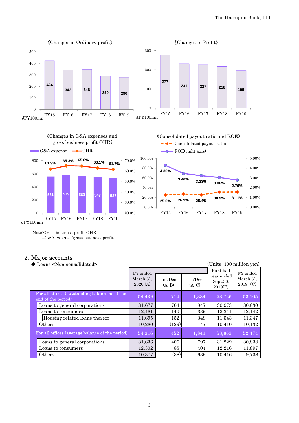

JPY100mn

Note:Gross business profit OHR

=G&A expense/gross business profit

#### 2.Major accounts

| (Units: 100 million yen)<br>$\blacktriangleright$ Loans <non-consolidated></non-consolidated> |                                  |                    |                    |                                                 |                                     |
|-----------------------------------------------------------------------------------------------|----------------------------------|--------------------|--------------------|-------------------------------------------------|-------------------------------------|
|                                                                                               | FY ended<br>March 31,<br>2020(A) | Inc/Dec<br>$(A-B)$ | Inc/Dec<br>$(A-C)$ | First half<br>year ended<br>Sept.30,<br>2019(B) | FY ended<br>March 31,<br>$2019$ (C) |
| For all offices (outstanding balance as of the<br>end of the period)                          | 54,439                           | 714                | 1,334              | 53,725                                          | 53,105                              |
| Loans to general corporations                                                                 | 31,677                           | 704                | 847                | 30,973                                          | 30,830                              |
| Loans to consumers                                                                            | 12,481                           | 140                | 339                | 12,341                                          | 12,142                              |
| Housing related loans thereof                                                                 | 11,695                           | 152                | 348                | 11,543                                          | 11,347                              |
| Others                                                                                        | 10,280                           | (129)              | 147                | 10,410                                          | 10,132                              |
| For all offices (average balance of the period)                                               | 54,316                           | 452                | 1,841              | 53,863                                          | 52,474                              |
| Loans to general corporations                                                                 | 31,636                           | 406                | 797                | 31,229                                          | 30,838                              |
| Loans to consumers                                                                            | 12,302                           | 85                 | 404                | 12,216                                          | 11,897                              |
| Others                                                                                        | 10,377                           | (38)               | 639                | 10,416                                          | 9,738                               |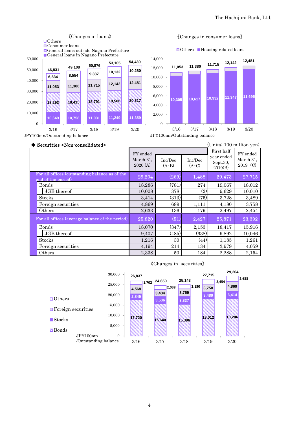

#### 《Changes in consumer loans》

JPY100mn/Outstanding balance

JPY100mn/Outstanding balance

| Securities <non-consolidated></non-consolidated>                     | (Units: 100 million yen)         |                    |                    |                                                 |                                     |
|----------------------------------------------------------------------|----------------------------------|--------------------|--------------------|-------------------------------------------------|-------------------------------------|
|                                                                      | FY ended<br>March 31,<br>2020(A) | Inc/Dec<br>$(A-B)$ | Inc/Dec<br>$(A-C)$ | First half<br>year ended<br>Sept.30,<br>2019(B) | FY ended<br>March 31,<br>$2019$ (C) |
| For all offices (outstanding balance as of the<br>end of the period) | 29,204                           | (269)              | 1,488              | 29,473                                          | 27,715                              |
| Bonds                                                                | 18,286                           | (781)              | 274                | 19,067                                          | 18,012                              |
| JGB thereof                                                          | 10,008                           | 378                | (2)                | 9,629                                           | 10,010                              |
| Stocks                                                               | 3,414                            | (313)              | (75)               | 3,728                                           | 3,489                               |
| Foreign securities                                                   | 4,869                            | 689                | 1,111              | 4,180                                           | 3,758                               |
| Others                                                               | 2,633                            | 136                | 179                | 2,497                                           | 2,454                               |
| For all offices (average balance of the period)                      | 25,820                           | (51)               | 2,427              | 25,871                                          | 23,392                              |
| Bonds                                                                | 18,070                           | (347)              | 2,153              | 18,417                                          | 15,916                              |
| JGB thereof                                                          | 9,407                            | (485)              | (638)              | 9,892                                           | 10,046                              |
| Stocks                                                               | 1,216                            | 30                 | (44)               | 1,185                                           | 1,261                               |
| Foreign securities                                                   | 4,194                            | 214                | 134                | 3,979                                           | 4,059                               |
| Others                                                               | 2,338                            | 50                 | 184                | 2,288                                           | 2,154                               |



# 《Changes in securities》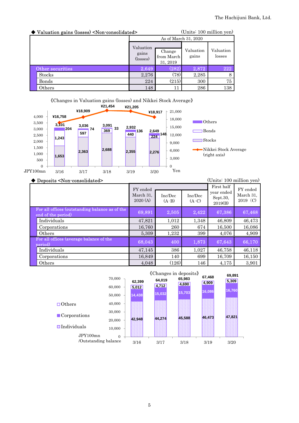| ◆ Valuation gains (losses) <non-consolidated></non-consolidated> |                                | (Units: 100 million yen)         |                    |                     |  |
|------------------------------------------------------------------|--------------------------------|----------------------------------|--------------------|---------------------|--|
|                                                                  | As of March 31, 2020           |                                  |                    |                     |  |
|                                                                  | Valuation<br>gains<br>(losses) | Change<br>from March<br>31, 2019 | Valuation<br>gains | Valuation<br>losses |  |
| Other securities                                                 | 2,649                          | (282)                            | 2,872              | 222                 |  |
| <b>Stocks</b>                                                    | 2,276                          | (78)                             | 2,285              | 8                   |  |
| Bonds                                                            | 224                            | (215)                            | 300                | 75                  |  |
| Others                                                           | 148                            | 11                               | 286                | 138                 |  |



#### ◆ Deposits <Non-consolidated> (Units: 100 million yen)

|                                                                      | FY ended<br>March 31,<br>2020(A) | Inc/Dec<br>$(A-B)$ | Inc/Dec<br>$(A-C)$ | First half<br>year ended<br>Sept.30,<br>2019(B) | FY ended<br>March 31,<br>$2019$ (C) |
|----------------------------------------------------------------------|----------------------------------|--------------------|--------------------|-------------------------------------------------|-------------------------------------|
| For all offices (outstanding balance as of the<br>end of the period) | 69,891                           | 2,505              | 2,422              | 67,386                                          | 67,468                              |
| Individuals                                                          | 47,821                           | 1,012              | 1,348              | 46,809                                          | 46,473                              |
| Corporations                                                         | 16,760                           | 260                | 674                | 16,500                                          | 16,086                              |
| Others                                                               | 5,309                            | 1,232              | 399                | 4,076                                           | 4,909                               |
| For all offices (average balance of the<br>period)                   | 68,043                           | 400                | 1,873              | 67,643                                          | 66,170                              |
| Individuals                                                          | 47,145                           | 386                | 1,027              | 46,758                                          | 46,118                              |
| Corporations                                                         | 16,849                           | 140                | 699                | 16,709                                          | 16,150                              |
| Others                                                               | 4,048                            | (126)              | 146                | 4,175                                           | 3,901                               |

|                             | 70,000<br>60,000 | 62,399<br>5,012 | 64,019<br>4,712 | «Changes in deposits»<br>65,983<br>4,690 | 67,468<br>4,909 | 69,891<br>5,309 |
|-----------------------------|------------------|-----------------|-----------------|------------------------------------------|-----------------|-----------------|
|                             | 50,000           | 14,438          | 15,032          | 15,703                                   | 16,086          | 16,760          |
| $\Box$ Others               | 40,000           |                 |                 |                                          |                 |                 |
| $\blacksquare$ Corporations | 30,000           |                 |                 |                                          |                 | 47,821          |
|                             | 20,000           | 42,948          | 44.274          | 45.588                                   | 46,473          |                 |
| <b>S</b> Individuals        | 10,000           |                 |                 |                                          |                 |                 |
| JPY100mn                    | $\Omega$         |                 |                 |                                          |                 |                 |
| /Outstanding balance        |                  | 3/16            | 3/17            | 3/18                                     | 3/19            | 3/20            |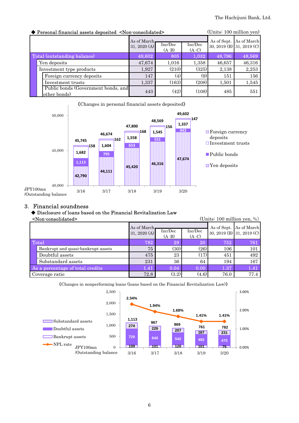| (Units: 100 million yen)<br>Personal financial assets deposited <non-consolidated></non-consolidated> |                |         |                    |        |                           |  |  |
|-------------------------------------------------------------------------------------------------------|----------------|---------|--------------------|--------|---------------------------|--|--|
|                                                                                                       | As of March.   | Inc/Dec |                    |        | As of Sept. As of March   |  |  |
|                                                                                                       | 31, 2020 $(A)$ | $(A-B)$ | Inc/Dec<br>$(A-C)$ |        | 30, 2019 (B) 31, 2019 (C) |  |  |
| Total (outstanding balance)                                                                           | 49,602         | 805     | 1,032              | 48,796 | 48,569                    |  |  |
| Yen deposits                                                                                          | 47,674         | 1,016   | 1,358              | 46,657 | 46,316                    |  |  |
| Investment type products                                                                              | 1,927          | (210)   | (325)              | 2,138  | 2,253                     |  |  |
| Foreign currency deposits                                                                             | 147            | (4)     | (9)                | 151    | 156                       |  |  |
| Investment trusts                                                                                     | 1,337          | (163)   | (208)              | 1,501  | 1,545                     |  |  |
| Public bonds (Government bonds, and<br>other bonds)                                                   | 443            | (42)    | (108)              | 485    | 551                       |  |  |



## 3. Financial soundness

## ◆ Disclosure of loans based on the Financial Revitalization Law

|                                  | (Units: $100$ million yen, %)<br><non-consolidated></non-consolidated> |                             |                    |                    |      |                                                      |
|----------------------------------|------------------------------------------------------------------------|-----------------------------|--------------------|--------------------|------|------------------------------------------------------|
|                                  |                                                                        | As of March<br>31, 2020 (A) | Inc/Dec<br>$(A-B)$ | Inc/Dec<br>$(A-C)$ |      | As of Sept. As of March<br>30, 2019 (B) 31, 2019 (C) |
| Total                            |                                                                        | (782)                       | 29                 | 20                 | 752  | 761                                                  |
|                                  | Bankrupt and quasi-bankrupt assets                                     | 75                          | (30)               | (26)               | 106  | 101                                                  |
|                                  | Doubtful assets                                                        | 475                         | 23                 | (17)               | 451  | 492                                                  |
|                                  | Substandard assets                                                     | 231                         | 36                 | 64                 | 194  | 167                                                  |
| As a percentage of total credits |                                                                        | 1.41                        | 0.04               | 0.00               | 1.37 | 1.41                                                 |
|                                  | Coverage ratio                                                         | 72.8                        | (3.2)              | (4.6)              | 76.0 | 77.4                                                 |

《Changes in nonperforming loans (loans based on the Financial Revitalization Law)》